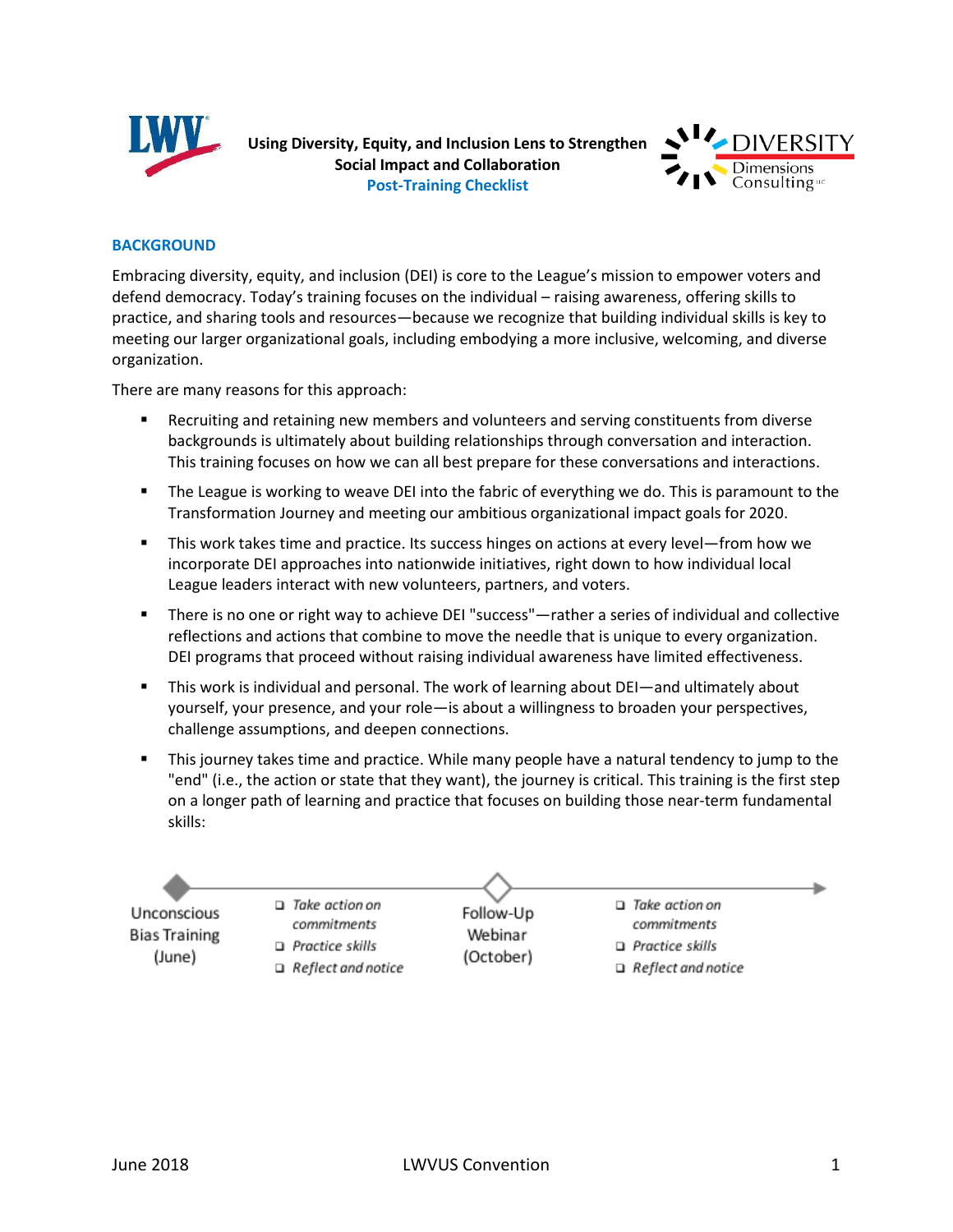

**Using Diversity, Equity, and Inclusion Lens to Strengthen Social Impact and Collaboration Post-Training Checklist**



### **BACKGROUND**

Embracing diversity, equity, and inclusion (DEI) is core to the League's mission to empower voters and defend democracy. Today's training focuses on the individual – raising awareness, offering skills to practice, and sharing tools and resources—because we recognize that building individual skills is key to meeting our larger organizational goals, including embodying a more inclusive, welcoming, and diverse organization.

There are many reasons for this approach:

- Recruiting and retaining new members and volunteers and serving constituents from diverse backgrounds is ultimately about building relationships through conversation and interaction. This training focuses on how we can all best prepare for these conversations and interactions.
- The League is working to weave DEI into the fabric of everything we do. This is paramount to the Transformation Journey and meeting our ambitious organizational impact goals for 2020.
- This work takes time and practice. Its success hinges on actions at every level—from how we incorporate DEI approaches into nationwide initiatives, right down to how individual local League leaders interact with new volunteers, partners, and voters.
- There is no one or right way to achieve DEI "success"—rather a series of individual and collective reflections and actions that combine to move the needle that is unique to every organization. DEI programs that proceed without raising individual awareness have limited effectiveness.
- This work is individual and personal. The work of learning about DEI—and ultimately about yourself, your presence, and your role—is about a willingness to broaden your perspectives, challenge assumptions, and deepen connections.
- This journey takes time and practice. While many people have a natural tendency to jump to the "end" (i.e., the action or state that they want), the journey is critical. This training is the first step on a longer path of learning and practice that focuses on building those near-term fundamental skills:

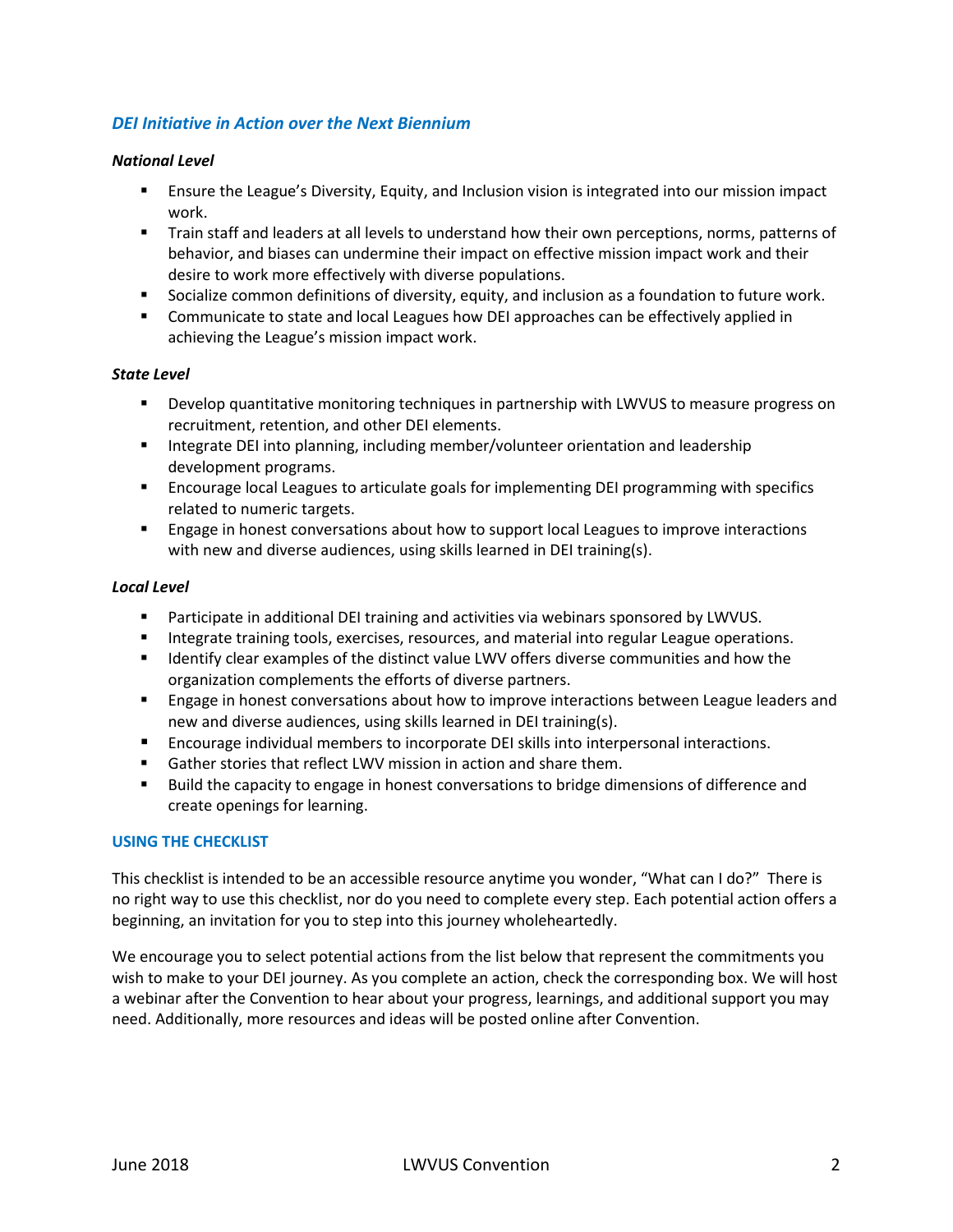# *DEI Initiative in Action over the Next Biennium*

### *National Level*

- Ensure the League's Diversity, Equity, and Inclusion vision is integrated into our mission impact work.
- Train staff and leaders at all levels to understand how their own perceptions, norms, patterns of behavior, and biases can undermine their impact on effective mission impact work and their desire to work more effectively with diverse populations.
- Socialize common definitions of diversity, equity, and inclusion as a foundation to future work.
- **•** Communicate to state and local Leagues how DEI approaches can be effectively applied in achieving the League's mission impact work.

### *State Level*

- **•** Develop quantitative monitoring techniques in partnership with LWVUS to measure progress on recruitment, retention, and other DEI elements.
- **■** Integrate DEI into planning, including member/volunteer orientation and leadership development programs.
- **EXECUTE:** Encourage local Leagues to articulate goals for implementing DEI programming with specifics related to numeric targets.
- **Example 2** Engage in honest conversations about how to support local Leagues to improve interactions with new and diverse audiences, using skills learned in DEI training(s).

### *Local Level*

- **•** Participate in additional DEI training and activities via webinars sponsored by LWVUS.
- **EXEDENT Integrate training tools, exercises, resources, and material into regular League operations.**
- Identify clear examples of the distinct value LWV offers diverse communities and how the organization complements the efforts of diverse partners.
- **E** Engage in honest conversations about how to improve interactions between League leaders and new and diverse audiences, using skills learned in DEI training(s).
- Encourage individual members to incorporate DEI skills into interpersonal interactions.
- Gather stories that reflect LWV mission in action and share them.
- Build the capacity to engage in honest conversations to bridge dimensions of difference and create openings for learning.

## **USING THE CHECKLIST**

This checklist is intended to be an accessible resource anytime you wonder, "What can I do?" There is no right way to use this checklist, nor do you need to complete every step. Each potential action offers a beginning, an invitation for you to step into this journey wholeheartedly.

We encourage you to select potential actions from the list below that represent the commitments you wish to make to your DEI journey. As you complete an action, check the corresponding box. We will host a webinar after the Convention to hear about your progress, learnings, and additional support you may need. Additionally, more resources and ideas will be posted online after Convention.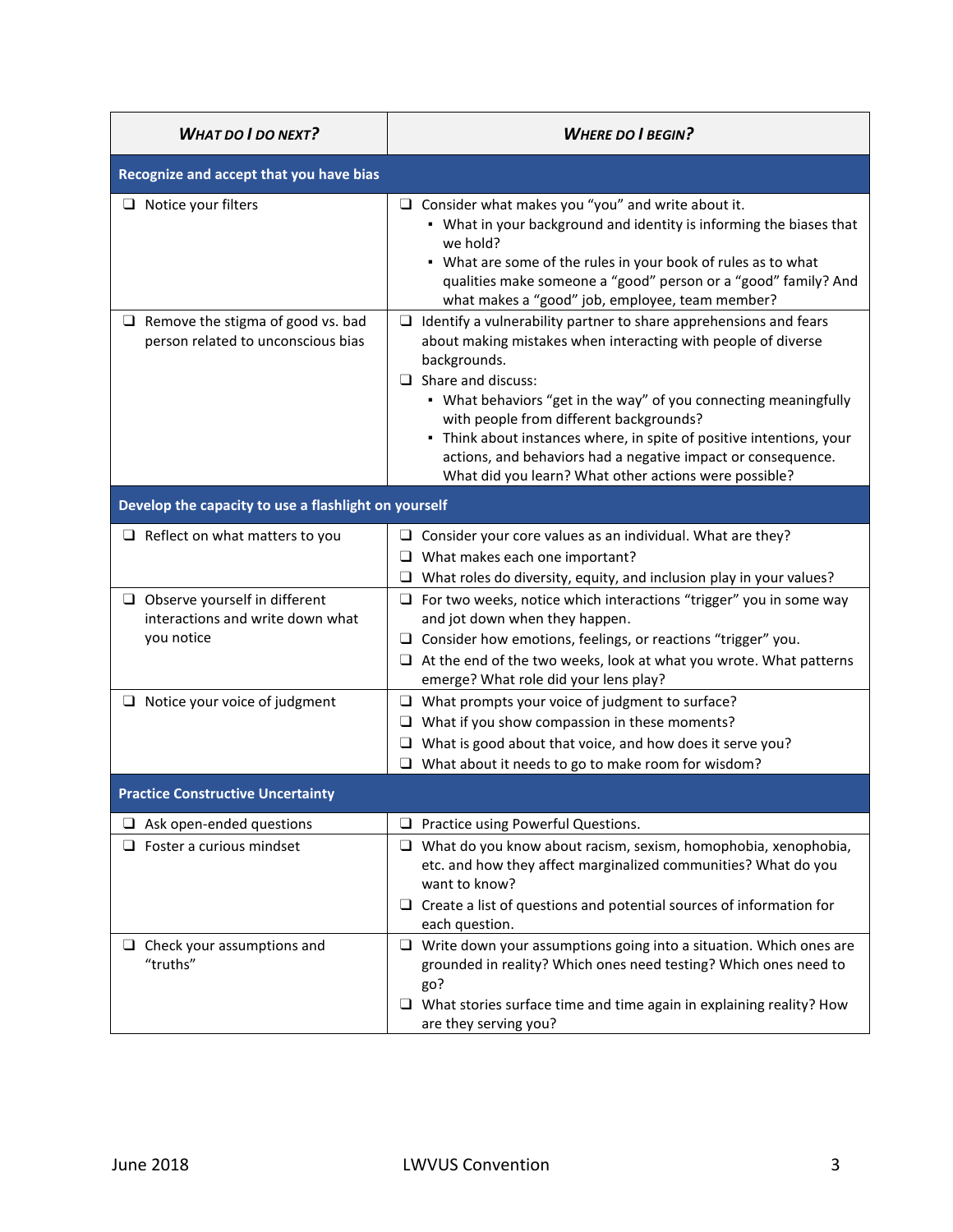| <b>WHAT DO I DO NEXT?</b>                                                              | <b>WHERE DO I BEGIN?</b>                                                                                                                                                                                                                                                                                                                                                                                                                                                                             |  |
|----------------------------------------------------------------------------------------|------------------------------------------------------------------------------------------------------------------------------------------------------------------------------------------------------------------------------------------------------------------------------------------------------------------------------------------------------------------------------------------------------------------------------------------------------------------------------------------------------|--|
| Recognize and accept that you have bias                                                |                                                                                                                                                                                                                                                                                                                                                                                                                                                                                                      |  |
| $\Box$ Notice your filters                                                             | $\Box$ Consider what makes you "you" and write about it.<br>• What in your background and identity is informing the biases that<br>we hold?<br>• What are some of the rules in your book of rules as to what<br>qualities make someone a "good" person or a "good" family? And<br>what makes a "good" job, employee, team member?                                                                                                                                                                    |  |
| $\Box$ Remove the stigma of good vs. bad<br>person related to unconscious bias         | Identify a vulnerability partner to share apprehensions and fears<br>⊔<br>about making mistakes when interacting with people of diverse<br>backgrounds.<br>$\Box$ Share and discuss:<br>• What behaviors "get in the way" of you connecting meaningfully<br>with people from different backgrounds?<br>- Think about instances where, in spite of positive intentions, your<br>actions, and behaviors had a negative impact or consequence.<br>What did you learn? What other actions were possible? |  |
| Develop the capacity to use a flashlight on yourself                                   |                                                                                                                                                                                                                                                                                                                                                                                                                                                                                                      |  |
| $\Box$ Reflect on what matters to you                                                  | $\Box$ Consider your core values as an individual. What are they?<br>$\Box$ What makes each one important?<br>$\Box$ What roles do diversity, equity, and inclusion play in your values?                                                                                                                                                                                                                                                                                                             |  |
| $\Box$ Observe yourself in different<br>interactions and write down what<br>you notice | $\Box$ For two weeks, notice which interactions "trigger" you in some way<br>and jot down when they happen.<br>$\Box$ Consider how emotions, feelings, or reactions "trigger" you.<br>$\Box$ At the end of the two weeks, look at what you wrote. What patterns<br>emerge? What role did your lens play?                                                                                                                                                                                             |  |
| $\Box$ Notice your voice of judgment                                                   | $\Box$ What prompts your voice of judgment to surface?<br>$\Box$ What if you show compassion in these moments?<br>$\Box$ What is good about that voice, and how does it serve you?<br>$\Box$ What about it needs to go to make room for wisdom?                                                                                                                                                                                                                                                      |  |
| <b>Practice Constructive Uncertainty</b>                                               |                                                                                                                                                                                                                                                                                                                                                                                                                                                                                                      |  |
| $\Box$ Ask open-ended questions<br>$\Box$ Foster a curious mindset                     | Practice using Powerful Questions.<br>⊔<br>$\Box$ What do you know about racism, sexism, homophobia, xenophobia,<br>etc. and how they affect marginalized communities? What do you<br>want to know?                                                                                                                                                                                                                                                                                                  |  |
|                                                                                        | $\Box$ Create a list of questions and potential sources of information for<br>each question.                                                                                                                                                                                                                                                                                                                                                                                                         |  |
| $\Box$ Check your assumptions and<br>"truths"                                          | $\Box$ Write down your assumptions going into a situation. Which ones are<br>grounded in reality? Which ones need testing? Which ones need to<br>go?<br>What stories surface time and time again in explaining reality? How<br>⊔<br>are they serving you?                                                                                                                                                                                                                                            |  |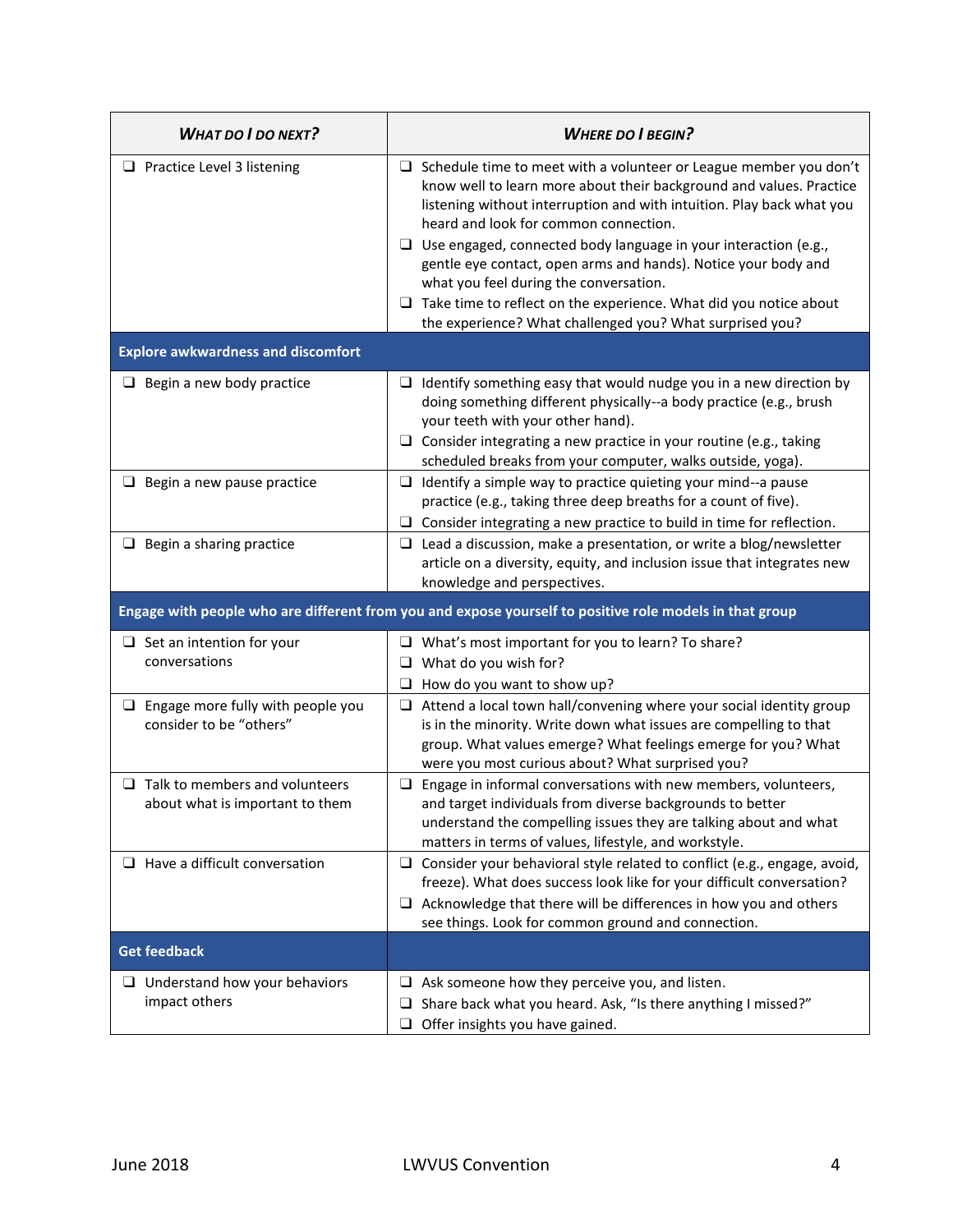| <b>WHAT DO I DO NEXT?</b>                                                                               | <b>WHERE DO I BEGIN?</b>                                                                                                                                                                                                                                                                                                                                                                                                                                                                                                            |  |
|---------------------------------------------------------------------------------------------------------|-------------------------------------------------------------------------------------------------------------------------------------------------------------------------------------------------------------------------------------------------------------------------------------------------------------------------------------------------------------------------------------------------------------------------------------------------------------------------------------------------------------------------------------|--|
| $\Box$ Practice Level 3 listening                                                                       | $\Box$ Schedule time to meet with a volunteer or League member you don't<br>know well to learn more about their background and values. Practice<br>listening without interruption and with intuition. Play back what you<br>heard and look for common connection.<br>$\Box$ Use engaged, connected body language in your interaction (e.g.,<br>gentle eye contact, open arms and hands). Notice your body and<br>what you feel during the conversation.<br>$\Box$ Take time to reflect on the experience. What did you notice about |  |
|                                                                                                         | the experience? What challenged you? What surprised you?                                                                                                                                                                                                                                                                                                                                                                                                                                                                            |  |
| <b>Explore awkwardness and discomfort</b>                                                               |                                                                                                                                                                                                                                                                                                                                                                                                                                                                                                                                     |  |
| Begin a new body practice                                                                               | $\Box$ Identify something easy that would nudge you in a new direction by<br>doing something different physically--a body practice (e.g., brush<br>your teeth with your other hand).<br>Consider integrating a new practice in your routine (e.g., taking<br>❏<br>scheduled breaks from your computer, walks outside, yoga).                                                                                                                                                                                                        |  |
| $\Box$ Begin a new pause practice                                                                       | $\Box$ Identify a simple way to practice quieting your mind--a pause<br>practice (e.g., taking three deep breaths for a count of five).<br>$\Box$ Consider integrating a new practice to build in time for reflection.                                                                                                                                                                                                                                                                                                              |  |
| $\Box$ Begin a sharing practice                                                                         | $\Box$ Lead a discussion, make a presentation, or write a blog/newsletter<br>article on a diversity, equity, and inclusion issue that integrates new<br>knowledge and perspectives.                                                                                                                                                                                                                                                                                                                                                 |  |
| Engage with people who are different from you and expose yourself to positive role models in that group |                                                                                                                                                                                                                                                                                                                                                                                                                                                                                                                                     |  |
| $\Box$ Set an intention for your<br>conversations                                                       | $\Box$ What's most important for you to learn? To share?<br>$\Box$ What do you wish for?<br>How do you want to show up?<br>$\Box$                                                                                                                                                                                                                                                                                                                                                                                                   |  |
| $\Box$ Engage more fully with people you<br>consider to be "others"                                     | $\Box$ Attend a local town hall/convening where your social identity group<br>is in the minority. Write down what issues are compelling to that<br>group. What values emerge? What feelings emerge for you? What<br>were you most curious about? What surprised you?                                                                                                                                                                                                                                                                |  |
| $\Box$ Talk to members and volunteers<br>about what is important to them                                | $\Box$ Engage in informal conversations with new members, volunteers,<br>and target individuals from diverse backgrounds to better<br>understand the compelling issues they are talking about and what<br>matters in terms of values, lifestyle, and workstyle.                                                                                                                                                                                                                                                                     |  |
| $\Box$ Have a difficult conversation                                                                    | Consider your behavioral style related to conflict (e.g., engage, avoid,<br>$\Box$<br>freeze). What does success look like for your difficult conversation?<br>Acknowledge that there will be differences in how you and others<br>⊔<br>see things. Look for common ground and connection.                                                                                                                                                                                                                                          |  |
| <b>Get feedback</b>                                                                                     |                                                                                                                                                                                                                                                                                                                                                                                                                                                                                                                                     |  |
| $\Box$ Understand how your behaviors<br>impact others                                                   | Ask someone how they perceive you, and listen.<br>⊔<br>Share back what you heard. Ask, "Is there anything I missed?"<br>⊔<br>Offer insights you have gained.<br>⊔                                                                                                                                                                                                                                                                                                                                                                   |  |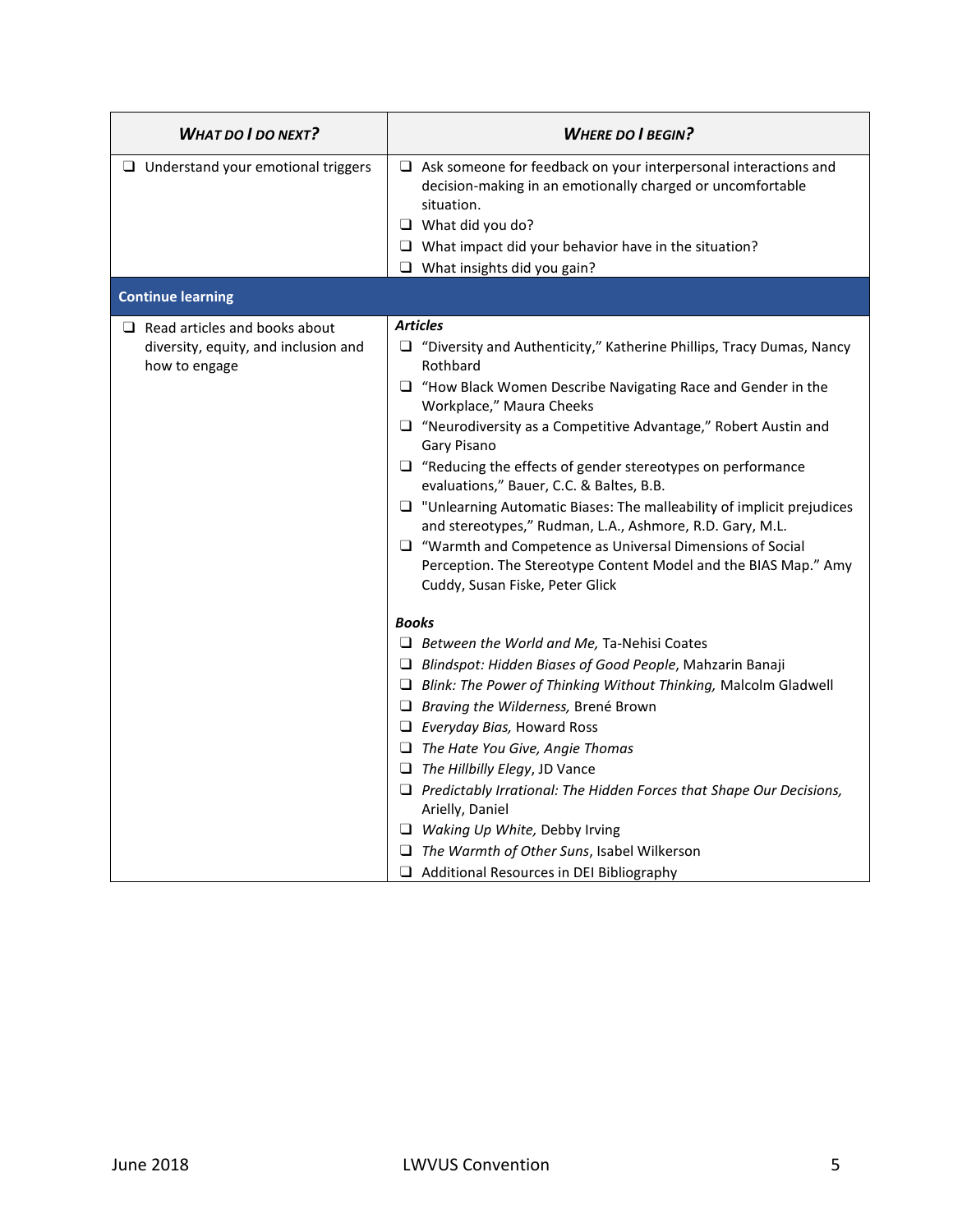| <b>WHAT DO I DO NEXT?</b>                                                                     | <b>WHERE DO I BEGIN?</b>                                                                                                                                                                                                                                                                                                                                                                                                                                                                                                                                                                                                                                                                                                                   |
|-----------------------------------------------------------------------------------------------|--------------------------------------------------------------------------------------------------------------------------------------------------------------------------------------------------------------------------------------------------------------------------------------------------------------------------------------------------------------------------------------------------------------------------------------------------------------------------------------------------------------------------------------------------------------------------------------------------------------------------------------------------------------------------------------------------------------------------------------------|
| $\Box$ Understand your emotional triggers                                                     | $\Box$ Ask someone for feedback on your interpersonal interactions and<br>decision-making in an emotionally charged or uncomfortable<br>situation.<br>$\Box$ What did you do?<br>$\Box$ What impact did your behavior have in the situation?<br>$\Box$ What insights did you gain?                                                                                                                                                                                                                                                                                                                                                                                                                                                         |
| <b>Continue learning</b>                                                                      |                                                                                                                                                                                                                                                                                                                                                                                                                                                                                                                                                                                                                                                                                                                                            |
| $\Box$ Read articles and books about<br>diversity, equity, and inclusion and<br>how to engage | <b>Articles</b><br>$\Box$ "Diversity and Authenticity," Katherine Phillips, Tracy Dumas, Nancy<br>Rothbard<br>$\Box$ "How Black Women Describe Navigating Race and Gender in the<br>Workplace," Maura Cheeks<br>$\Box$ "Neurodiversity as a Competitive Advantage," Robert Austin and<br>Gary Pisano<br>$\Box$ "Reducing the effects of gender stereotypes on performance<br>evaluations," Bauer, C.C. & Baltes, B.B.<br>$\Box$ "Unlearning Automatic Biases: The malleability of implicit prejudices<br>and stereotypes," Rudman, L.A., Ashmore, R.D. Gary, M.L.<br>$\Box$ "Warmth and Competence as Universal Dimensions of Social<br>Perception. The Stereotype Content Model and the BIAS Map." Amy<br>Cuddy, Susan Fiske, Peter Glick |
|                                                                                               | <b>Books</b><br>$\Box$ Between the World and Me, Ta-Nehisi Coates<br>$\Box$ Blindspot: Hidden Biases of Good People, Mahzarin Banaji<br>$\Box$ Blink: The Power of Thinking Without Thinking, Malcolm Gladwell<br>$\Box$ Braving the Wilderness, Brené Brown<br>$\Box$ Everyday Bias, Howard Ross<br>$\Box$ The Hate You Give, Angie Thomas<br>$\Box$ The Hillbilly Elegy, JD Vance<br>$\Box$ Predictably Irrational: The Hidden Forces that Shape Our Decisions,<br>Arielly, Daniel<br>$\Box$ Waking Up White, Debby Irving<br>$\Box$ The Warmth of Other Suns, Isabel Wilkerson<br>$\Box$ Additional Resources in DEI Bibliography                                                                                                       |